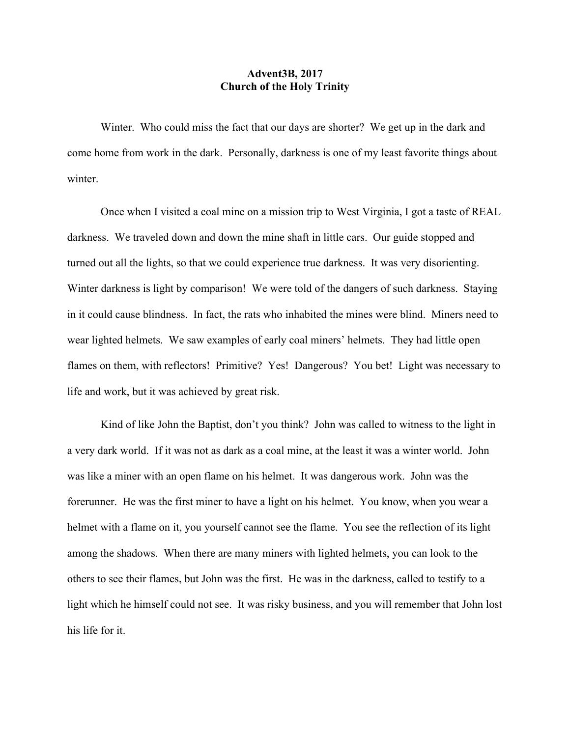## **Advent3B, 2017 Church of the Holy Trinity**

Winter. Who could miss the fact that our days are shorter? We get up in the dark and come home from work in the dark. Personally, darkness is one of my least favorite things about winter.

Once when I visited a coal mine on a mission trip to West Virginia, I got a taste of REAL darkness. We traveled down and down the mine shaft in little cars. Our guide stopped and turned out all the lights, so that we could experience true darkness. It was very disorienting. Winter darkness is light by comparison! We were told of the dangers of such darkness. Staying in it could cause blindness. In fact, the rats who inhabited the mines were blind. Miners need to wear lighted helmets. We saw examples of early coal miners' helmets. They had little open flames on them, with reflectors! Primitive? Yes! Dangerous? You bet! Light was necessary to life and work, but it was achieved by great risk.

Kind of like John the Baptist, don't you think? John was called to witness to the light in a very dark world. If it was not as dark as a coal mine, at the least it was a winter world. John was like a miner with an open flame on his helmet. It was dangerous work. John was the forerunner. He was the first miner to have a light on his helmet. You know, when you wear a helmet with a flame on it, you yourself cannot see the flame. You see the reflection of its light among the shadows. When there are many miners with lighted helmets, you can look to the others to see their flames, but John was the first. He was in the darkness, called to testify to a light which he himself could not see. It was risky business, and you will remember that John lost his life for it.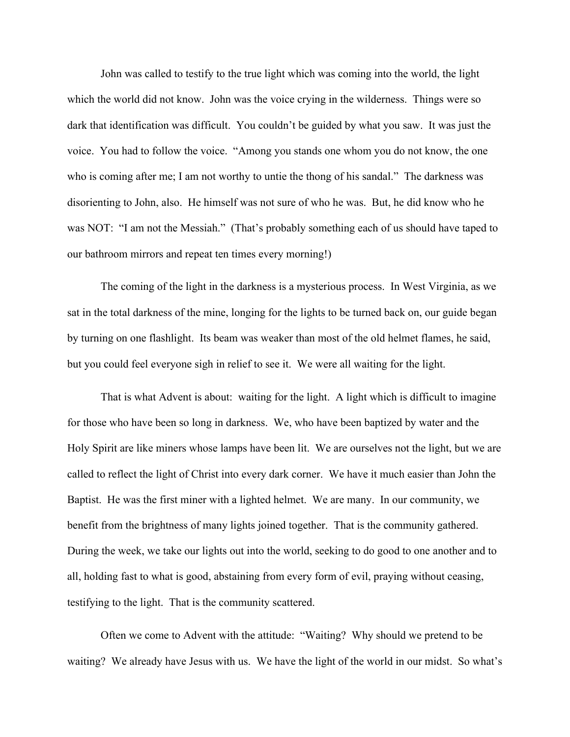John was called to testify to the true light which was coming into the world, the light which the world did not know. John was the voice crying in the wilderness. Things were so dark that identification was difficult. You couldn't be guided by what you saw. It was just the voice. You had to follow the voice. "Among you stands one whom you do not know, the one who is coming after me; I am not worthy to untie the thong of his sandal." The darkness was disorienting to John, also. He himself was not sure of who he was. But, he did know who he was NOT: "I am not the Messiah." (That's probably something each of us should have taped to our bathroom mirrors and repeat ten times every morning!)

The coming of the light in the darkness is a mysterious process. In West Virginia, as we sat in the total darkness of the mine, longing for the lights to be turned back on, our guide began by turning on one flashlight. Its beam was weaker than most of the old helmet flames, he said, but you could feel everyone sigh in relief to see it. We were all waiting for the light.

That is what Advent is about: waiting for the light. A light which is difficult to imagine for those who have been so long in darkness. We, who have been baptized by water and the Holy Spirit are like miners whose lamps have been lit. We are ourselves not the light, but we are called to reflect the light of Christ into every dark corner. We have it much easier than John the Baptist. He was the first miner with a lighted helmet. We are many. In our community, we benefit from the brightness of many lights joined together. That is the community gathered. During the week, we take our lights out into the world, seeking to do good to one another and to all, holding fast to what is good, abstaining from every form of evil, praying without ceasing, testifying to the light. That is the community scattered.

Often we come to Advent with the attitude: "Waiting? Why should we pretend to be waiting? We already have Jesus with us. We have the light of the world in our midst. So what's